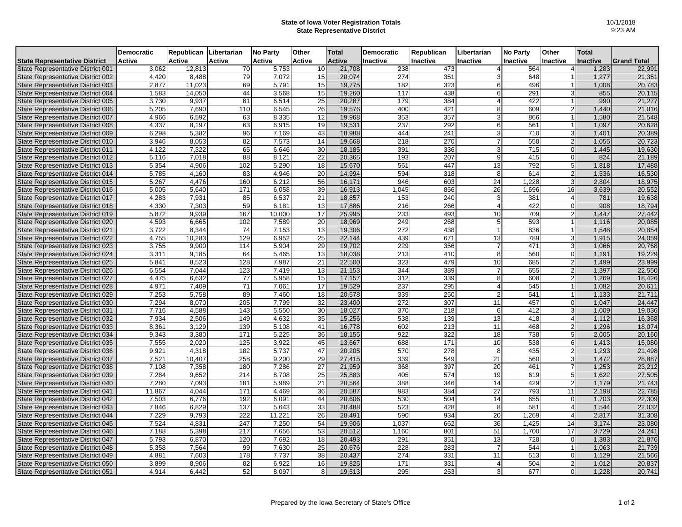## **State of Iowa Voter Registration Totals State Representative District**

|                                      | <b>Democratic</b> | Republican | Libertarian      | <b>No Party</b> | Other           | <b>Total</b>  | <b>Democratic</b> | Republican | Libertarian     | <b>No Party</b>  | Other                   | Total           |                    |
|--------------------------------------|-------------------|------------|------------------|-----------------|-----------------|---------------|-------------------|------------|-----------------|------------------|-------------------------|-----------------|--------------------|
| <b>State Representative District</b> | <b>Active</b>     | Active     | Active           | Active          | Active          | <b>Active</b> | <b>Inactive</b>   | Inactive   | Inactive        | <b>Inactive</b>  | Inactive                | <b>Inactive</b> | <b>Grand Total</b> |
| State Representative District 001    | 3,062             | 12,813     | 70               | 5,753           | 10              | 21,708        | 238               | 473        | $\overline{4}$  | 564              |                         | 1,283           | 22,991             |
| State Representative District 002    | 4,420             | 8,488      | 79               | 7,072           | 15              | 20,074        | 274               | 351        | 3               | 648              |                         | 1,277           | 21,351             |
| State Representative District 003    | 2,877             | 11,023     | 69               | 5,791           | 15              | 19,775        | 182               | 323        | 6               | 496              | $\overline{\mathbf{1}}$ | 1,008           | 20,783             |
| State Representative District 004    | 1,583             | 14,050     | 44               | 3,568           | 15              | 19,260        | 117               | 438        | 6               | 291              |                         | 855             | 20,115             |
| State Representative District 005    | 3,730             | 9,937      | 81               | 6,514           | 25              | 20,287        | 179               | 384        | $\overline{4}$  | 422              |                         | 990             | 21,277             |
| State Representative District 006    | 5,205             | 7.690      | 110              | 6,545           | 26              | 19,576        | 400               | 421        | 8               | 609              | $\overline{2}$          | 1,440           | 21,016             |
| State Representative District 007    | 4,966             | 6,592      | 63               | 8,335           | 12              | 19,968        | 353               | 357        | 3               | 866              | $\overline{1}$          | 1,580           | 21,548             |
| State Representative District 008    | 4,337             | 8.197      | 63               | 6.915           | 19              | 19,531        | 237               | 292        | 6               | 561              | -1                      | 1,097           | 20,628             |
| State Representative District 009    | 6,298             | 5,382      | 96               | 7,169           | 43              | 18,988        | 444               | 241        | $\overline{3}$  | 710              |                         | 1,401           | 20,389             |
| State Representative District 010    | 3,946             | 8,053      | $\overline{82}$  | 7,573           | $\overline{14}$ | 19,668        | $\overline{218}$  | 270        | 7               | 558              | $\overline{2}$          | 1,055           | 20,723             |
| State Representative District 011    | 4,122             | 7,322      | 65               | 6,646           | 30              | 18,185        | 391               | 336        | 3               | 715              | $\Omega$                | 1,445           | 19,630             |
| State Representative District 012    | 5,116             | 7,018      | 88               | 8.121           | 22              | 20,365        | 193               | 207        | 9               | 415              | $\Omega$                | 824             | 21,189             |
| State Representative District 013    | 5,354             | 4,906      | 102              | 5,290           | 18              | 15,670        | 561               | 447        | 13              | 792              | 5                       | 1,818           | 17,488             |
| State Representative District 014    | 5,785             | 4,160      | 83               | 4,946           | 20              | 14,994        | 594               | 318        | 8               | 614              | $\overline{2}$          | 1,536           | 16,530             |
| State Representative District 015    | 5,267             | 4,476      | 160              | 6,212           | 56              | 16,171        | 946               | 603        | $\overline{24}$ | 1,228            | 3                       | 2,804           | 18,975             |
| State Representative District 016    | 5,005             | 5,640      | 171              | 6,058           | 39              | 16,913        | 1,045             | 856        | 26              | 1,696            | 16                      | 3,639           | 20,552             |
| State Representative District 017    | 4,283             | 7,931      | 85               | 6,537           | 21              | 18,857        | 153               | 240        | 3               | 381              | $\overline{4}$          | 781             | 19,638             |
| State Representative District 018    | 4,330             | 7,303      | 59               | 6,181           | 13              | 17,886        | 216               | 266        | $\overline{4}$  | 422              | $\overline{0}$          | 908             | 18,794             |
| State Representative District 019    | 5,872             | 9,939      | 167              | 10.000          | 17              | 25,995        | 233               | 493        | 10              | 709              | $\overline{2}$          | 1,447           | 27,442             |
| State Representative District 020    | 4,593             | 6,665      | 102              | 7,589           | 20              | 18,969        | 249               | 268        | $5\phantom{.0}$ | 593              |                         | 1,116           | 20,085             |
| State Representative District 021    | 3,722             | 8,344      | 74               | 7,153           | 13              | 19,306        | 272               | 438        | $\mathbf{1}$    | 836              | $\overline{1}$          | 1,548           | 20,854             |
| State Representative District 022    | 4,755             | 10,283     | 129              | 6,952           | 25              | 22,144        | 439               | 671        | 13              | 789              | 3                       | 1,915           | 24,059             |
| State Representative District 023    | 3,755             | 9,900      | 114              | 5,904           | 29              | 19,702        | 229               | 356        | $\overline{7}$  | 471              | 3                       | 1,066           | 20,768             |
| State Representative District 024    | 3,311             | 9,185      | 64               | 5,465           | 13              | 18,038        | 213               | 410        | 8               | 560              | $\Omega$                | 1,191           | 19,229             |
| State Representative District 025    | 5,841             | 8,523      | 128              | 7,987           | 21              | 22,500        | 323               | 479        | 10              | 685              | $\mathcal{D}$           | 1,499           | 23,999             |
| State Representative District 026    | 6,554             | 7.044      | 123              | 7.419           | 13              | 21,153        | 344               | 389        | $\overline{7}$  | 655              | $\mathcal{P}$           | 1,397           | 22,550             |
| State Representative District 027    | 4,475             | 6,632      | 77               | 5,958           | 15              | 17,157        | 312               | 339        | 8               | 608              | $\overline{2}$          | 1,269           | 18,426             |
| State Representative District 028    | 4,971             | 7.409      | 71               | 7.061           | 17              | 19,529        | 237               | 295        | $\overline{4}$  | 545              |                         | 1.082           | 20,611             |
| State Representative District 029    | 7,253             | 5,758      | 89               | 7,460           | 18              | 20,578        | 339               | 250        | $\overline{2}$  | 541              |                         | 1,133           | 21,711             |
| State Representative District 030    | 7,294             | 8,070      | 205              | 7,799           | 32              | 23,400        | 272               | 307        | 11              | 457              | $\Omega$                | 1,047           | 24,447             |
| State Representative District 031    | 7,716             | 4,588      | 143              | 5,550           | 30              | 18,027        | 370               | 218        | 6               | 412              | 3                       | 1,009           | 19,036             |
| State Representative District 032    | 7,934             | 2,506      | 149              | 4,632           | 35              | 15,256        | 538               | 139        | 13              | 418              | $\overline{4}$          | 1,112           | 16,368             |
| State Representative District 033    | 8,361             | 3,129      | 139              | 5,108           | 41              | 16,778        | 602               | 213        | 11              | 468              | $\overline{2}$          | 1,296           | 18,074             |
| State Representative District 034    | 9,343             | 3,380      | 171              | 5,225           | 36              | 18,155        | 922               | 322        | 18              | 738              | 5                       | 2,005           | 20,160             |
| State Representative District 035    | 7,555             | 2,020      | 125              | 3,922           | 45              | 13,667        | 688               | 171        | 10              | 538              | 6                       | 1,413           | 15,080             |
| State Representative District 036    | 9,921             | 4,318      | 182              | 5,737           | 47              | 20,205        | 570               | 278        | 8               | 435              | $\overline{2}$          | 1,293           | 21,498             |
| State Representative District 037    | 7,521             | 10,407     | 258              | 9,200           | 29              | 27,415        | 339               | 549        | 21              | 560              | 3                       | 1,472           | 28,887             |
| State Representative District 038    | 7,108             | 7,358      | 180              | 7.286           | 27              | 21,959        | 368               | 397        | 20              | 461              | $\overline{7}$          | 1,253           | 23,212             |
| State Representative District 039    | 7,284             | 9,652      | 214              | 8,708           | 25              | 25,883        | 405               | 574        | 19              | 619              | 5                       | 1,622           | 27,505             |
| State Representative District 040    | 7,280             | 7,093      | 181              | 5,989           | 21              | 20,564        | 388               | 346        | 14              | 429              | $\mathfrak{p}$          | 1,179           | 21,743             |
| State Representative District 041    | 11,867            | 4,044      | 171              | 4,469           | 36              | 20,587        | 983               | 384        | $\overline{27}$ | 793              | 11                      | 2,198           | 22,785             |
| State Representative District 042    | 7,503             | 6,776      | 192              | 6,091           | 44              | 20,606        | 530               | 504        | 14              | 655              | $\Omega$                | 1,703           | 22,309             |
| State Representative District 043    | 7,846             | 6,829      | 137              | 5,643           | 33              | 20,488        | 523               | 428        | 8               | 581              | $\overline{4}$          | 1,544           | 22,032             |
| State Representative District 044    | 7,229             | 9,793      | $\overline{222}$ | 11.221          | $\overline{26}$ | 28,491        | 590               | 934        | 20              | 1,269            | $\Delta$                | 2,817           | 31,308             |
| State Representative District 045    | 7,524             | 4,831      | 247              | 7,250           | 54              | 19,906        | 1,037             | 662        | 36              | 1.425            | 14                      | 3,174           | 23,080             |
| State Representative District 046    | 7,188             | 5.398      | 217              | 7.656           | 53              | 20,512        | 1.160             | 801        | 51              | 1.700            | 17                      | 3.729           | 24,241             |
| State Representative District 047    | 5,793             | 6,870      | 120              | 7,692           | 18              | 20,493        | 291               | 351        | 13              | $\overline{728}$ | $\mathbf 0$             | 1,383           | 21,876             |
| State Representative District 048    | 5,358             | 7,564      | 99               | 7,630           | 25              | 20,676        | 228               | 283        | $\overline{7}$  | 544              | $\overline{1}$          | 1,063           | 21,739             |
| State Representative District 049    | 4,881             | 7,603      | 178              | 7,737           | 38              | 20,437        | 274               | 331        | 11              | 513              | $\Omega$                | 1,129           | 21,566             |
| State Representative District 050    | 3,899             | 8,906      | 82               | 6,922           | 16              | 19,825        | 171               | 331        | $\overline{4}$  | 504              | $\overline{2}$          | 1,012           | 20,837             |
| State Representative District 051    | 4,914             | 6,442      | 52               | 8,097           | 8               | 19,513        | 295               | 253        | 3               | 677              | $\Omega$                | 1,228           | 20,741             |
|                                      |                   |            |                  |                 |                 |               |                   |            |                 |                  |                         |                 |                    |